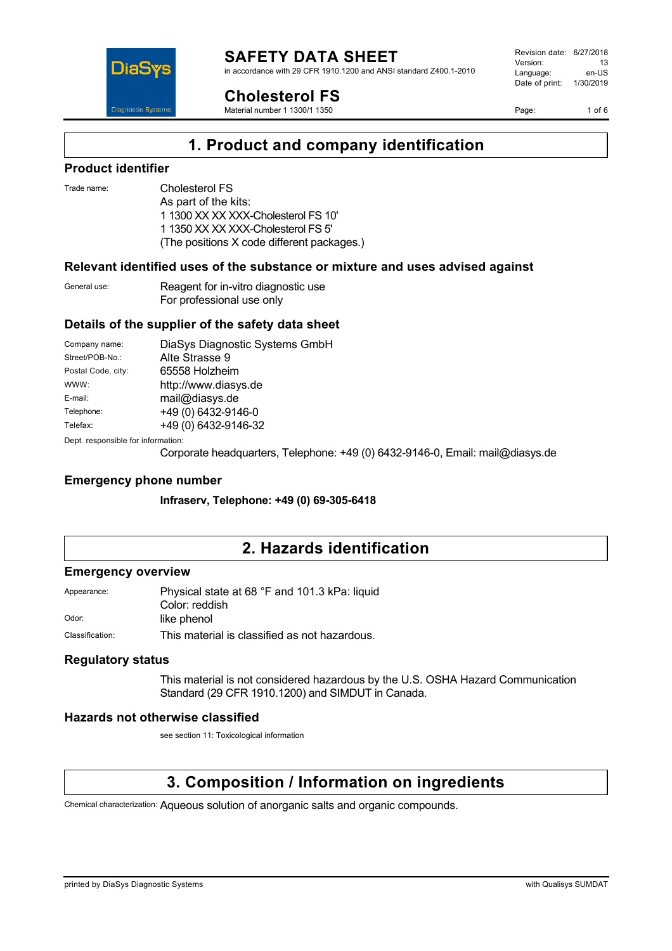in accordance with 29 CFR 1910.1200 and ANSI standard Z400.1-2010



**Cholesterol FS**

Material number 1 1300/1 1350

Revision date: 6/27/2018 Version: 13<br>Language: en-LIS Language: Date of print: 1/30/2019

Page: 1 of 6

## **1. Product and company identification**

### **Product identifier**

Trade name: Cholesterol FS

As part of the kits: 1 1300 XX XX XXX-Cholesterol FS 10' 1 1350 XX XX XXX-Cholesterol FS 5' (The positions X code different packages.)

### **Relevant identified uses of the substance or mixture and uses advised against**

General use: Reagent for in-vitro diagnostic use For professional use only

### **Details of the supplier of the safety data sheet**

| Company name:                     | DiaSys Diagnostic Systems GmbH |
|-----------------------------------|--------------------------------|
| Street/POB-No.:                   | Alte Strasse 9                 |
| Postal Code, city:                | 65558 Holzheim                 |
| WWW:                              | http://www.diasys.de           |
| E-mail:                           | mail@diasys.de                 |
| Telephone:                        | +49 (0) 6432-9146-0            |
| Telefax:                          | +49 (0) 6432-9146-32           |
| Dont recognoible for information. |                                |

pt. responsible for information

Corporate headquarters, Telephone: +49 (0) 6432-9146-0, Email: mail@diasys.de

### **Emergency phone number**

**Infraserv, Telephone: +49 (0) 69-305-6418**

## **2. Hazards identification**

### **Emergency overview**

| Appearance:     | Physical state at 68 °F and 101.3 kPa: liquid |
|-----------------|-----------------------------------------------|
|                 | Color: reddish                                |
| Odor:           | like phenol                                   |
| Classification: | This material is classified as not hazardous. |

### **Regulatory status**

This material is not considered hazardous by the U.S. OSHA Hazard Communication Standard (29 CFR 1910.1200) and SIMDUT in Canada.

### **Hazards not otherwise classified**

see section 11: Toxicological information

## **3. Composition / Information on ingredients**

Chemical characterization: Aqueous solution of anorganic salts and organic compounds.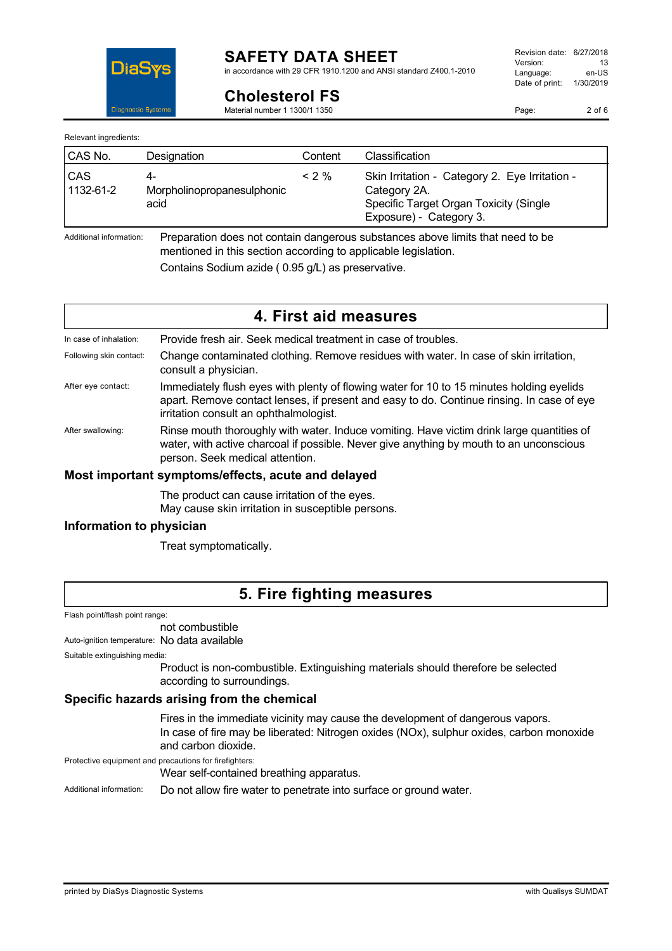

in accordance with 29 CFR 1910.1200 and ANSI standard Z400.1-2010

Page: 2 of 6

**Diagnostic Systen** 

DiaS

| Relevant ingredients: |  |
|-----------------------|--|
|-----------------------|--|

| CAS No.          | Designation                              | Content  | <b>Classification</b>                                                                                                               |
|------------------|------------------------------------------|----------|-------------------------------------------------------------------------------------------------------------------------------------|
| CAS<br>1132-61-2 | 4-<br>Morpholinopropanesulphonic<br>acid | $< 2 \%$ | Skin Irritation - Category 2. Eye Irritation -<br>Category 2A.<br>Specific Target Organ Toxicity (Single<br>Exposure) - Category 3. |

Additional information: Preparation does not contain dangerous substances above limits that need to be mentioned in this section according to applicable legislation.

Contains Sodium azide ( 0.95 g/L) as preservative.

**Cholesterol FS** Material number 1 1300/1 1350

|                         | 4. First aid measures                                                                                                                                                                                                           |
|-------------------------|---------------------------------------------------------------------------------------------------------------------------------------------------------------------------------------------------------------------------------|
| In case of inhalation:  | Provide fresh air. Seek medical treatment in case of troubles.                                                                                                                                                                  |
| Following skin contact: | Change contaminated clothing. Remove residues with water. In case of skin irritation,<br>consult a physician.                                                                                                                   |
| After eye contact:      | Immediately flush eyes with plenty of flowing water for 10 to 15 minutes holding eyelids<br>apart. Remove contact lenses, if present and easy to do. Continue rinsing. In case of eye<br>irritation consult an ophthalmologist. |
| After swallowing:       | Rinse mouth thoroughly with water. Induce vomiting. Have victim drink large quantities of<br>water, with active charcoal if possible. Never give anything by mouth to an unconscious<br>person. Seek medical attention.         |
|                         | Most important symptoms/effects, acute and delayed                                                                                                                                                                              |

### **Most important symptoms/effects, acute and delayed**

The product can cause irritation of the eyes.

May cause skin irritation in susceptible persons.

### **Information to physician**

Treat symptomatically.

## **5. Fire fighting measures**

Flash point/flash point range:

not combustible

Auto-ignition temperature: No data available

Suitable extinguishing media:

Product is non-combustible. Extinguishing materials should therefore be selected according to surroundings.

### **Specific hazards arising from the chemical**

Fires in the immediate vicinity may cause the development of dangerous vapors. In case of fire may be liberated: Nitrogen oxides (NOx), sulphur oxides, carbon monoxide and carbon dioxide.

Protective equipment and precautions for firefighters:

Wear self-contained breathing apparatus.

Additional information: Do not allow fire water to penetrate into surface or ground water.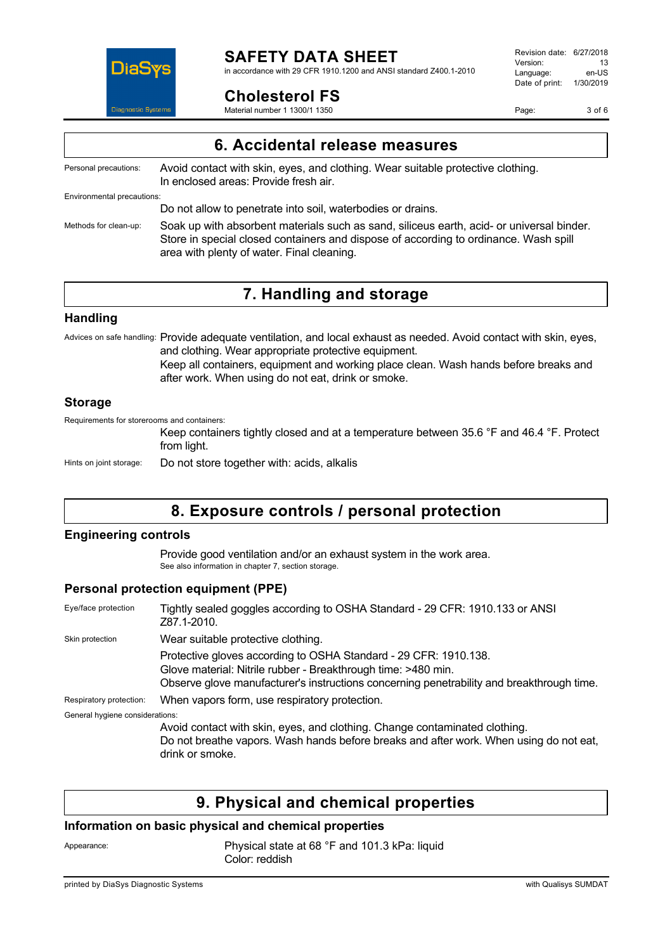

in accordance with 29 CFR 1910.1200 and ANSI standard Z400.1-2010

Revision date: 6/27/2018 Version: 13<br>Language: en-LIS Language: Date of print: 1/30/2019

Page: 3 of 6

|  | <b>Cholesterol FS</b> |  |
|--|-----------------------|--|
|--|-----------------------|--|

Material number 1 1300/1 1350

|                            | 6. Accidental release measures                                                                                                                                                                                                  |  |
|----------------------------|---------------------------------------------------------------------------------------------------------------------------------------------------------------------------------------------------------------------------------|--|
| Personal precautions:      | Avoid contact with skin, eyes, and clothing. Wear suitable protective clothing.<br>In enclosed areas: Provide fresh air.                                                                                                        |  |
| Environmental precautions: |                                                                                                                                                                                                                                 |  |
|                            | Do not allow to penetrate into soil, waterbodies or drains.                                                                                                                                                                     |  |
| Methods for clean-up:      | Soak up with absorbent materials such as sand, siliceus earth, acid- or universal binder.<br>Store in special closed containers and dispose of according to ordinance. Wash spill<br>area with plenty of water. Final cleaning. |  |

# **7. Handling and storage**

### **Handling**

Advices on safe handling: Provide adequate ventilation, and local exhaust as needed. Avoid contact with skin, eyes, and clothing. Wear appropriate protective equipment.

Keep all containers, equipment and working place clean. Wash hands before breaks and after work. When using do not eat, drink or smoke.

### **Storage**

Requirements for storerooms and containers:

Keep containers tightly closed and at a temperature between 35.6 °F and 46.4 °F. Protect from light.

Hints on joint storage: Do not store together with: acids, alkalis

# **8. Exposure controls / personal protection**

### **Engineering controls**

Provide good ventilation and/or an exhaust system in the work area. See also information in chapter 7, section storage.

### **Personal protection equipment (PPE)**

| Eye/face protection             | Tightly sealed goggles according to OSHA Standard - 29 CFR: 1910.133 or ANSI<br>Z87.1-2010.                                                                                                                                    |
|---------------------------------|--------------------------------------------------------------------------------------------------------------------------------------------------------------------------------------------------------------------------------|
| Skin protection                 | Wear suitable protective clothing.                                                                                                                                                                                             |
|                                 | Protective gloves according to OSHA Standard - 29 CFR: 1910.138.<br>Glove material: Nitrile rubber - Breakthrough time: >480 min.<br>Observe glove manufacturer's instructions concerning penetrability and breakthrough time. |
| Respiratory protection:         | When vapors form, use respiratory protection.                                                                                                                                                                                  |
| General hygiene considerations: |                                                                                                                                                                                                                                |
|                                 | Avoid contact with skin, eyes, and clothing. Change contaminated clothing.<br>Do not breathe vapors. Wash hands before breaks and after work. When using do not eat,<br>drink or smoke.                                        |

# **9. Physical and chemical properties**

### **Information on basic physical and chemical properties**

Appearance: Physical state at 68 °F and 101.3 kPa: liquid Color: reddish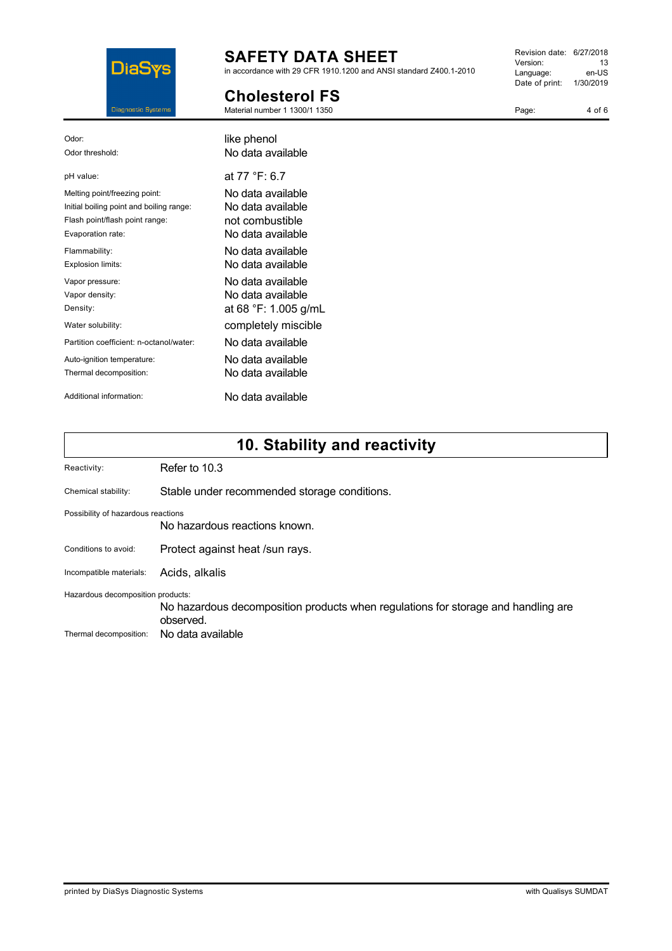

in accordance with 29 CFR 1910.1200 and ANSI standard Z400.1-2010

### **Cholesterol FS** Material number 1 1300/1 1350

Revision date: 6/27/2018 Version: 13<br>Language: en-US Language: Date of print: 1/30/2019

Page:

| Odor <sup>-</sup>                        | like phenol          |
|------------------------------------------|----------------------|
| Odor threshold:                          | No data available    |
| pH value:                                | at 77 °F: 6.7        |
| Melting point/freezing point:            | No data available    |
| Initial boiling point and boiling range: | No data available    |
| Flash point/flash point range:           | not combustible      |
| Evaporation rate:                        | No data available    |
| Flammability:                            | No data available    |
| Explosion limits:                        | No data available    |
| Vapor pressure:                          | No data available    |
| Vapor density:                           | No data available    |
| Density:                                 | at 68 °F: 1.005 g/mL |
| Water solubility:                        | completely miscible  |
| Partition coefficient: n-octanol/water:  | No data available    |
| Auto-ignition temperature:               | No data available    |
| Thermal decomposition:                   | No data available    |
| Additional information:                  | No data available    |

# **10. Stability and reactivity**

| Reactivity:                        | Refer to 10.3                                                                                  |
|------------------------------------|------------------------------------------------------------------------------------------------|
| Chemical stability:                | Stable under recommended storage conditions.                                                   |
| Possibility of hazardous reactions | No hazardous reactions known.                                                                  |
| Conditions to avoid:               | Protect against heat /sun rays.                                                                |
| Incompatible materials:            | Acids, alkalis                                                                                 |
| Hazardous decomposition products:  | No hazardous decomposition products when regulations for storage and handling are<br>observed. |
| Thermal decomposition:             | No data available                                                                              |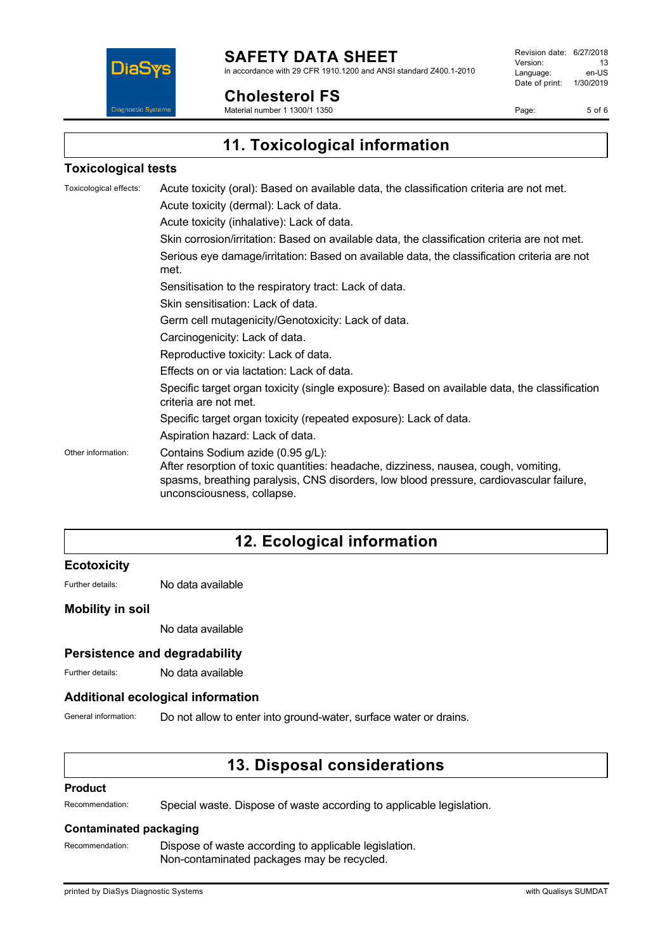

**Cholesterol FS** Material number 1 1300/1 1350

in accordance with 29 CFR 1910.1200 and ANSI standard Z400.1-2010

**DiaS Diagnostic Systen**  Revision date: 6/27/2018 Version: 13<br>
Language: en-US Language: Date of print: 1/30/2019

Page: 5 of 6

**11. Toxicological information**

### **Toxicological tests**

| Toxicological effects: | Acute toxicity (oral): Based on available data, the classification criteria are not met.<br>Acute toxicity (dermal): Lack of data.<br>Acute toxicity (inhalative): Lack of data.                                                                  |
|------------------------|---------------------------------------------------------------------------------------------------------------------------------------------------------------------------------------------------------------------------------------------------|
|                        | Skin corrosion/irritation: Based on available data, the classification criteria are not met.                                                                                                                                                      |
|                        | Serious eye damage/irritation: Based on available data, the classification criteria are not<br>met.                                                                                                                                               |
|                        | Sensitisation to the respiratory tract: Lack of data.                                                                                                                                                                                             |
|                        | Skin sensitisation: Lack of data.                                                                                                                                                                                                                 |
|                        | Germ cell mutagenicity/Genotoxicity: Lack of data.                                                                                                                                                                                                |
|                        | Carcinogenicity: Lack of data.                                                                                                                                                                                                                    |
|                        | Reproductive toxicity: Lack of data.                                                                                                                                                                                                              |
|                        | Effects on or via lactation: Lack of data.                                                                                                                                                                                                        |
|                        | Specific target organ toxicity (single exposure): Based on available data, the classification<br>criteria are not met.                                                                                                                            |
|                        | Specific target organ toxicity (repeated exposure): Lack of data.                                                                                                                                                                                 |
|                        | Aspiration hazard: Lack of data.                                                                                                                                                                                                                  |
| Other information:     | Contains Sodium azide (0.95 g/L):<br>After resorption of toxic quantities: headache, dizziness, nausea, cough, vomiting,<br>spasms, breathing paralysis, CNS disorders, low blood pressure, cardiovascular failure,<br>unconsciousness, collapse. |

# **12. Ecological information**

### **Ecotoxicity**

Further details: No data available

### **Mobility in soil**

No data available

### **Persistence and degradability**

Further details: No data available

### **Additional ecological information**

General information: Do not allow to enter into ground-water, surface water or drains.

## **13. Disposal considerations**

#### **Product**

Recommendation: Special waste. Dispose of waste according to applicable legislation.

### **Contaminated packaging**

Recommendation: Dispose of waste according to applicable legislation. Non-contaminated packages may be recycled.